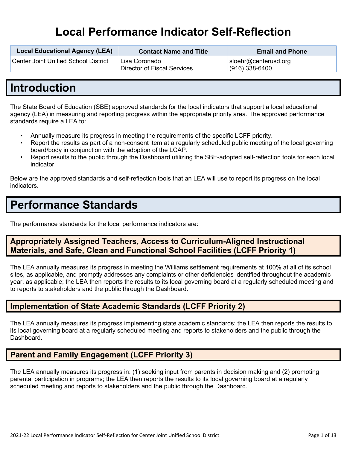# **Local Performance Indicator Self-Reflection**

| <b>Local Educational Agency (LEA)</b><br>-- | <b>Contact Name and Title</b>                | <b>Email and Phone</b>                   |
|---------------------------------------------|----------------------------------------------|------------------------------------------|
| <b>Center Joint Unified School District</b> | Lisa Coronado<br>Director of Fiscal Services | sloehr@centerusd.org<br>$(916)$ 338-6400 |

## **Introduction**

The State Board of Education (SBE) approved standards for the local indicators that support a local educational agency (LEA) in measuring and reporting progress within the appropriate priority area. The approved performance standards require a LEA to:

- Annually measure its progress in meeting the requirements of the specific LCFF priority.
- Report the results as part of a non-consent item at a regularly scheduled public meeting of the local governing board/body in conjunction with the adoption of the LCAP.
- Report results to the public through the Dashboard utilizing the SBE-adopted self-reflection tools for each local indicator.

Below are the approved standards and self-reflection tools that an LEA will use to report its progress on the local indicators.

# **Performance Standards**

The performance standards for the local performance indicators are:

## **Appropriately Assigned Teachers, Access to Curriculum-Aligned Instructional Materials, and Safe, Clean and Functional School Facilities (LCFF Priority 1)**

The LEA annually measures its progress in meeting the Williams settlement requirements at 100% at all of its school sites, as applicable, and promptly addresses any complaints or other deficiencies identified throughout the academic year, as applicable; the LEA then reports the results to its local governing board at a regularly scheduled meeting and to reports to stakeholders and the public through the Dashboard.

## **Implementation of State Academic Standards (LCFF Priority 2)**

The LEA annually measures its progress implementing state academic standards; the LEA then reports the results to its local governing board at a regularly scheduled meeting and reports to stakeholders and the public through the Dashboard.

## **Parent and Family Engagement (LCFF Priority 3)**

The LEA annually measures its progress in: (1) seeking input from parents in decision making and (2) promoting parental participation in programs; the LEA then reports the results to its local governing board at a regularly scheduled meeting and reports to stakeholders and the public through the Dashboard.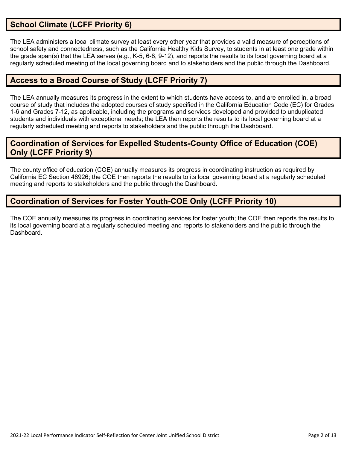## **School Climate (LCFF Priority 6)**

The LEA administers a local climate survey at least every other year that provides a valid measure of perceptions of school safety and connectedness, such as the California Healthy Kids Survey, to students in at least one grade within the grade span(s) that the LEA serves (e.g., K-5, 6-8, 9-12), and reports the results to its local governing board at a regularly scheduled meeting of the local governing board and to stakeholders and the public through the Dashboard.

## **Access to a Broad Course of Study (LCFF Priority 7)**

The LEA annually measures its progress in the extent to which students have access to, and are enrolled in, a broad course of study that includes the adopted courses of study specified in the California Education Code (EC) for Grades 1-6 and Grades 7-12, as applicable, including the programs and services developed and provided to unduplicated students and individuals with exceptional needs; the LEA then reports the results to its local governing board at a regularly scheduled meeting and reports to stakeholders and the public through the Dashboard.

## **Coordination of Services for Expelled Students-County Office of Education (COE) Only (LCFF Priority 9)**

The county office of education (COE) annually measures its progress in coordinating instruction as required by California EC Section 48926; the COE then reports the results to its local governing board at a regularly scheduled meeting and reports to stakeholders and the public through the Dashboard.

## **Coordination of Services for Foster Youth-COE Only (LCFF Priority 10)**

The COE annually measures its progress in coordinating services for foster youth; the COE then reports the results to its local governing board at a regularly scheduled meeting and reports to stakeholders and the public through the **Dashboard**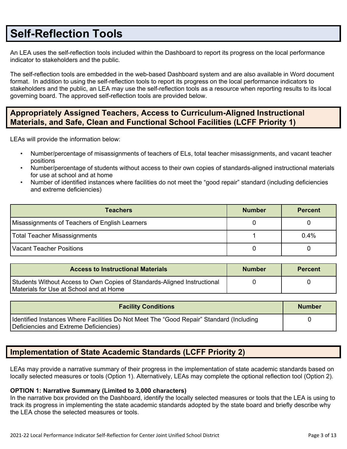## **Self-Reflection Tools**

An LEA uses the self-reflection tools included within the Dashboard to report its progress on the local performance indicator to stakeholders and the public.

The self-reflection tools are embedded in the web-based Dashboard system and are also available in Word document format. In addition to using the self-reflection tools to report its progress on the local performance indicators to stakeholders and the public, an LEA may use the self-reflection tools as a resource when reporting results to its local governing board. The approved self-reflection tools are provided below.

## **Appropriately Assigned Teachers, Access to Curriculum-Aligned Instructional Materials, and Safe, Clean and Functional School Facilities (LCFF Priority 1)**

LEAs will provide the information below:

- Number/percentage of misassignments of teachers of ELs, total teacher misassignments, and vacant teacher positions
- Number/percentage of students without access to their own copies of standards-aligned instructional materials for use at school and at home
- Number of identified instances where facilities do not meet the "good repair" standard (including deficiencies and extreme deficiencies)

| <b>Teachers</b>                                | <b>Number</b> | <b>Percent</b> |
|------------------------------------------------|---------------|----------------|
| Misassignments of Teachers of English Learners |               |                |
| <b>Total Teacher Misassignments</b>            |               | 0.4%           |
| Vacant Teacher Positions                       |               |                |

| <b>Access to Instructional Materials</b>                                                                            | <b>Number</b> | <b>Percent</b> |
|---------------------------------------------------------------------------------------------------------------------|---------------|----------------|
| Students Without Access to Own Copies of Standards-Aligned Instructional<br>Materials for Use at School and at Home |               |                |

| <b>Facility Conditions</b>                                                                                                        | <b>Number</b> |
|-----------------------------------------------------------------------------------------------------------------------------------|---------------|
| Identified Instances Where Facilities Do Not Meet The "Good Repair" Standard (Including<br>Deficiencies and Extreme Deficiencies) |               |

## **Implementation of State Academic Standards (LCFF Priority 2)**

LEAs may provide a narrative summary of their progress in the implementation of state academic standards based on locally selected measures or tools (Option 1). Alternatively, LEAs may complete the optional reflection tool (Option 2).

#### **OPTION 1: Narrative Summary (Limited to 3,000 characters)**

In the narrative box provided on the Dashboard, identify the locally selected measures or tools that the LEA is using to track its progress in implementing the state academic standards adopted by the state board and briefly describe why the LEA chose the selected measures or tools.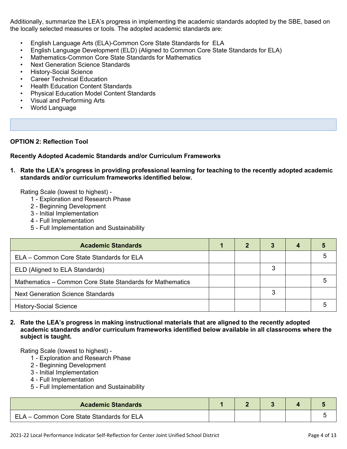Additionally, summarize the LEA's progress in implementing the academic standards adopted by the SBE, based on the locally selected measures or tools. The adopted academic standards are:

- English Language Arts (ELA)-Common Core State Standards for ELA
- English Language Development (ELD) (Aligned to Common Core State Standards for ELA)
- Mathematics-Common Core State Standards for Mathematics
- Next Generation Science Standards
- History-Social Science
- **Career Technical Education**
- Health Education Content Standards
- Physical Education Model Content Standards
- Visual and Performing Arts
- World Language

#### **OPTION 2: Reflection Tool**

#### **Recently Adopted Academic Standards and/or Curriculum Frameworks**

**1. Rate the LEA's progress in providing professional learning for teaching to the recently adopted academic standards and/or curriculum frameworks identified below.**

Rating Scale (lowest to highest) -

- 1 Exploration and Research Phase
- 2 Beginning Development
- 3 Initial Implementation
- 4 Full Implementation
- 5 Full Implementation and Sustainability

| <b>Academic Standards</b>                                 |  |   |  |
|-----------------------------------------------------------|--|---|--|
| ELA – Common Core State Standards for ELA                 |  |   |  |
| ELD (Aligned to ELA Standards)                            |  | 3 |  |
| Mathematics - Common Core State Standards for Mathematics |  |   |  |
| <b>Next Generation Science Standards</b>                  |  | 3 |  |
| <b>History-Social Science</b>                             |  |   |  |

#### **2. Rate the LEA's progress in making instructional materials that are aligned to the recently adopted academic standards and/or curriculum frameworks identified below available in all classrooms where the subject is taught.**

- 1 Exploration and Research Phase
- 2 Beginning Development
- 3 Initial Implementation
- 4 Full Implementation
- 5 Full Implementation and Sustainability

| <b>Academic Standards</b>                 |  |  |  |
|-------------------------------------------|--|--|--|
| ELA – Common Core State Standards for ELA |  |  |  |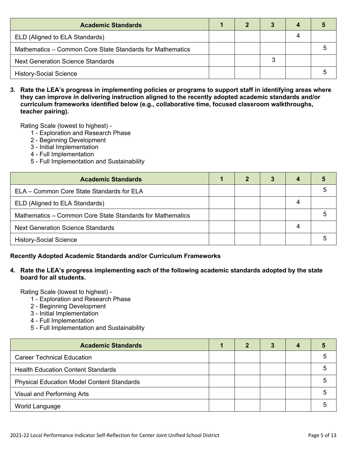| <b>Academic Standards</b>                                 |  |  |  |
|-----------------------------------------------------------|--|--|--|
| ELD (Aligned to ELA Standards)                            |  |  |  |
| Mathematics – Common Core State Standards for Mathematics |  |  |  |
| <b>Next Generation Science Standards</b>                  |  |  |  |
| <b>History-Social Science</b>                             |  |  |  |

3. Rate the LEA's progress in implementing policies or programs to support staff in identifying areas where **they can improve in delivering instruction aligned to the recently adopted academic standards and/or curriculum frameworks identified below (e.g., collaborative time, focused classroom walkthroughs, teacher pairing).**

Rating Scale (lowest to highest) -

- 1 Exploration and Research Phase
- 2 Beginning Development
- 3 Initial Implementation
- 4 Full Implementation
- 5 Full Implementation and Sustainability

| <b>Academic Standards</b>                                 |  | 3 |   |  |
|-----------------------------------------------------------|--|---|---|--|
| ELA - Common Core State Standards for ELA                 |  |   |   |  |
| ELD (Aligned to ELA Standards)                            |  |   | 4 |  |
| Mathematics - Common Core State Standards for Mathematics |  |   |   |  |
| <b>Next Generation Science Standards</b>                  |  |   | 4 |  |
| <b>History-Social Science</b>                             |  |   |   |  |

#### **Recently Adopted Academic Standards and/or Curriculum Frameworks**

#### **4. Rate the LEA's progress implementing each of the following academic standards adopted by the state board for all students.**

- 1 Exploration and Research Phase
- 2 Beginning Development
- 3 Initial Implementation
- 4 Full Implementation
- 5 Full Implementation and Sustainability

| <b>Academic Standards</b>                         |  | 3 | 4 |  |
|---------------------------------------------------|--|---|---|--|
| <b>Career Technical Education</b>                 |  |   |   |  |
| <b>Health Education Content Standards</b>         |  |   |   |  |
| <b>Physical Education Model Content Standards</b> |  |   |   |  |
| Visual and Performing Arts                        |  |   |   |  |
| World Language                                    |  |   |   |  |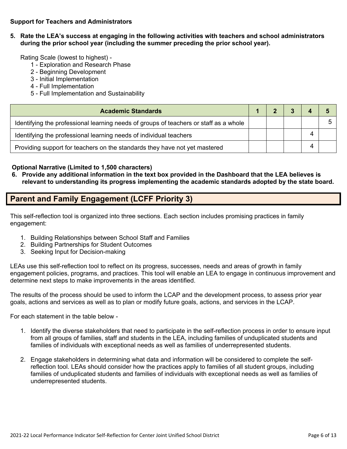#### **Support for Teachers and Administrators**

**5. Rate the LEA's success at engaging in the following activities with teachers and school administrators during the prior school year (including the summer preceding the prior school year).**

Rating Scale (lowest to highest) -

- 1 Exploration and Research Phase
- 2 Beginning Development
- 3 Initial Implementation
- 4 Full Implementation
- 5 Full Implementation and Sustainability

| <b>Academic Standards</b>                                                             |  |  |  |
|---------------------------------------------------------------------------------------|--|--|--|
| Identifying the professional learning needs of groups of teachers or staff as a whole |  |  |  |
| Identifying the professional learning needs of individual teachers                    |  |  |  |
| Providing support for teachers on the standards they have not yet mastered            |  |  |  |

#### **Optional Narrative (Limited to 1,500 characters)**

6. Provide any additional information in the text box provided in the Dashboard that the LEA believes is **relevant to understanding its progress implementing the academic standards adopted by the state board.**

### **Parent and Family Engagement (LCFF Priority 3)**

This self-reflection tool is organized into three sections. Each section includes promising practices in family engagement:

- 1. Building Relationships between School Staff and Families
- 2. Building Partnerships for Student Outcomes
- 3. Seeking Input for Decision-making

LEAs use this self-reflection tool to reflect on its progress, successes, needs and areas of growth in family engagement policies, programs, and practices. This tool will enable an LEA to engage in continuous improvement and determine next steps to make improvements in the areas identified.

The results of the process should be used to inform the LCAP and the development process, to assess prior year goals, actions and services as well as to plan or modify future goals, actions, and services in the LCAP.

For each statement in the table below -

- 1. Identify the diverse stakeholders that need to participate in the self-reflection process in order to ensure input from all groups of families, staff and students in the LEA, including families of unduplicated students and families of individuals with exceptional needs as well as families of underrepresented students.
- 2. Engage stakeholders in determining what data and information will be considered to complete the selfreflection tool. LEAs should consider how the practices apply to families of all student groups, including families of unduplicated students and families of individuals with exceptional needs as well as families of underrepresented students.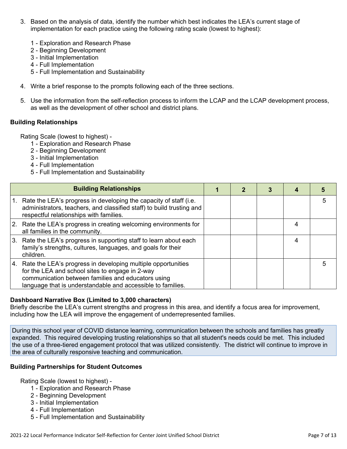- 3. Based on the analysis of data, identify the number which best indicates the LEA's current stage of implementation for each practice using the following rating scale (lowest to highest):
	- 1 Exploration and Research Phase
	- 2 Beginning Development
	- 3 Initial Implementation
	- 4 Full Implementation
	- 5 Full Implementation and Sustainability
- 4. Write a brief response to the prompts following each of the three sections.
- 5. Use the information from the self-reflection process to inform the LCAP and the LCAP development process, as well as the development of other school and district plans.

#### **Building Relationships**

Rating Scale (lowest to highest) -

- 1 Exploration and Research Phase
- 2 Beginning Development
- 3 Initial Implementation
- 4 Full Implementation
- 5 Full Implementation and Sustainability

|    | <b>Building Relationships</b>                                                                                                                                                                                                           |  |  |   |
|----|-----------------------------------------------------------------------------------------------------------------------------------------------------------------------------------------------------------------------------------------|--|--|---|
| 1. | Rate the LEA's progress in developing the capacity of staff (i.e.<br>administrators, teachers, and classified staff) to build trusting and<br>respectful relationships with families.                                                   |  |  | 5 |
|    | 2. Rate the LEA's progress in creating welcoming environments for<br>all families in the community.                                                                                                                                     |  |  |   |
|    | 3. Rate the LEA's progress in supporting staff to learn about each<br>family's strengths, cultures, languages, and goals for their<br>children.                                                                                         |  |  |   |
|    | 4. Rate the LEA's progress in developing multiple opportunities<br>for the LEA and school sites to engage in 2-way<br>communication between families and educators using<br>language that is understandable and accessible to families. |  |  |   |

#### **Dashboard Narrative Box (Limited to 3,000 characters)**

Briefly describe the LEA's current strengths and progress in this area, and identify a focus area for improvement, including how the LEA will improve the engagement of underrepresented families.

During this school year of COVID distance learning, communication between the schools and families has greatly expanded. This required developing trusting relationships so that all student's needs could be met. This included the use of a three-tiered engagement protocol that was utilized consistently. The district will continue to improve in the area of culturally responsive teaching and communication.

#### **Building Partnerships for Student Outcomes**

- 1 Exploration and Research Phase
- 2 Beginning Development
- 3 Initial Implementation
- 4 Full Implementation
- 5 Full Implementation and Sustainability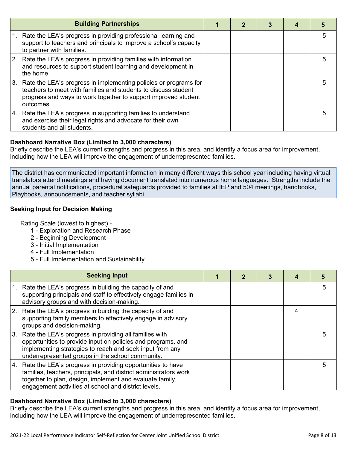| <b>Building Partnerships</b>                                                                                                                                                                                         |  |  |   |
|----------------------------------------------------------------------------------------------------------------------------------------------------------------------------------------------------------------------|--|--|---|
| Rate the LEA's progress in providing professional learning and<br>support to teachers and principals to improve a school's capacity<br>to partner with families.                                                     |  |  | 5 |
| 2. Rate the LEA's progress in providing families with information<br>and resources to support student learning and development in<br>the home.                                                                       |  |  | 5 |
| 3. Rate the LEA's progress in implementing policies or programs for<br>teachers to meet with families and students to discuss student<br>progress and ways to work together to support improved student<br>outcomes. |  |  | 5 |
| 4. Rate the LEA's progress in supporting families to understand<br>and exercise their legal rights and advocate for their own<br>students and all students.                                                          |  |  | 5 |

#### **Dashboard Narrative Box (Limited to 3,000 characters)**

Briefly describe the LEA's current strengths and progress in this area, and identify a focus area for improvement, including how the LEA will improve the engagement of underrepresented families.

The district has communicated important information in many different ways this school year including having virtual translators attend meetings and having document translated into numerous home languages. Strengths include the annual parental notifications, procedural safeguards provided to families at IEP and 504 meetings, handbooks, Playbooks, announcements, and teacher syllabi.

## **Seeking Input for Decision Making**

Rating Scale (lowest to highest) -

- 1 Exploration and Research Phase
- 2 Beginning Development
- 3 Initial Implementation
- 4 Full Implementation
- 5 Full Implementation and Sustainability

|    | <b>Seeking Input</b>                                                                                                                                                                                                                                 |  |   |   |
|----|------------------------------------------------------------------------------------------------------------------------------------------------------------------------------------------------------------------------------------------------------|--|---|---|
| 1. | Rate the LEA's progress in building the capacity of and<br>supporting principals and staff to effectively engage families in<br>advisory groups and with decision-making.                                                                            |  |   | 5 |
|    | 2. Rate the LEA's progress in building the capacity of and<br>supporting family members to effectively engage in advisory<br>groups and decision-making.                                                                                             |  | 4 |   |
|    | 3. Rate the LEA's progress in providing all families with<br>opportunities to provide input on policies and programs, and<br>implementing strategies to reach and seek input from any<br>underrepresented groups in the school community.            |  |   | 5 |
|    | 4. Rate the LEA's progress in providing opportunities to have<br>families, teachers, principals, and district administrators work<br>together to plan, design, implement and evaluate family<br>engagement activities at school and district levels. |  |   | 5 |

#### **Dashboard Narrative Box (Limited to 3,000 characters)**

Briefly describe the LEA's current strengths and progress in this area, and identify a focus area for improvement, including how the LEA will improve the engagement of underrepresented families.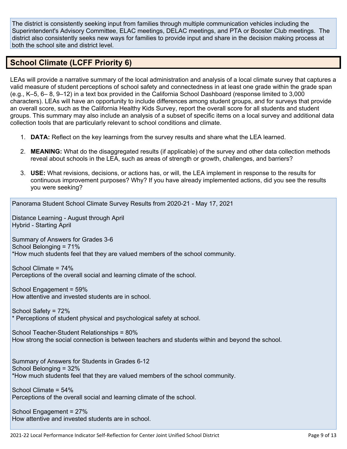The district is consistently seeking input from families through multiple communication vehicles including the Superintendent's Advisory Committee, ELAC meetings, DELAC meetings, and PTA or Booster Club meetings. The district also consistently seeks new ways for families to provide input and share in the decision making process at both the school site and district level.

## **School Climate (LCFF Priority 6)**

LEAs will provide a narrative summary of the local administration and analysis of a local climate survey that captures a valid measure of student perceptions of school safety and connectedness in at least one grade within the grade span (e.g., K–5, 6– 8, 9–12) in a text box provided in the California School Dashboard (response limited to 3,000 characters). LEAs will have an opportunity to include differences among student groups, and for surveys that provide an overall score, such as the California Healthy Kids Survey, report the overall score for all students and student groups. This summary may also include an analysis of a subset of specific items on a local survey and additional data collection tools that are particularly relevant to school conditions and climate.

- 1. **DATA:** Reflect on the key learnings from the survey results and share what the LEA learned.
- 2. **MEANING:** What do the disaggregated results (if applicable) of the survey and other data collection methods reveal about schools in the LEA, such as areas of strength or growth, challenges, and barriers?
- 3. **USE:** What revisions, decisions, or actions has, or will, the LEA implement in response to the results for continuous improvement purposes? Why? If you have already implemented actions, did you see the results you were seeking?

Panorama Student School Climate Survey Results from 2020-21 - May 17, 2021

Distance Learning - August through April Hybrid - Starting April

Summary of Answers for Grades 3-6 School Belonging = 71% \*How much students feel that they are valued members of the school community.

School Climate = 74% Perceptions of the overall social and learning climate of the school.

School Engagement = 59% How attentive and invested students are in school.

School Safety = 72% \* Perceptions of student physical and psychological safety at school.

School Teacher-Student Relationships = 80% How strong the social connection is between teachers and students within and beyond the school.

Summary of Answers for Students in Grades 6-12 School Belonging = 32% \*How much students feel that they are valued members of the school community.

School Climate = 54% Perceptions of the overall social and learning climate of the school.

School Engagement = 27% How attentive and invested students are in school.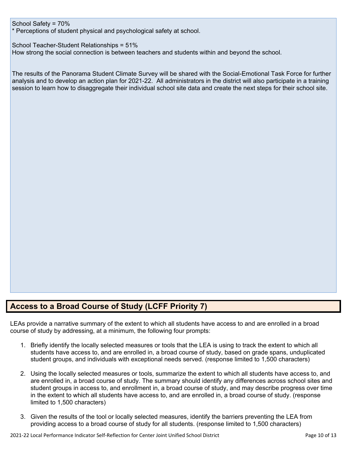School Safety = 70%

\* Perceptions of student physical and psychological safety at school.

School Teacher-Student Relationships = 51%

How strong the social connection is between teachers and students within and beyond the school.

The results of the Panorama Student Climate Survey will be shared with the Social-Emotional Task Force for further analysis and to develop an action plan for 2021-22. All administrators in the district will also participate in a training session to learn how to disaggregate their individual school site data and create the next steps for their school site.

## **Access to a Broad Course of Study (LCFF Priority 7)**

LEAs provide a narrative summary of the extent to which all students have access to and are enrolled in a broad course of study by addressing, at a minimum, the following four prompts:

- 1. Briefly identify the locally selected measures or tools that the LEA is using to track the extent to which all students have access to, and are enrolled in, a broad course of study, based on grade spans, unduplicated student groups, and individuals with exceptional needs served. (response limited to 1,500 characters)
- 2. Using the locally selected measures or tools, summarize the extent to which all students have access to, and are enrolled in, a broad course of study. The summary should identify any differences across school sites and student groups in access to, and enrollment in, a broad course of study, and may describe progress over time in the extent to which all students have access to, and are enrolled in, a broad course of study. (response limited to 1,500 characters)
- 3. Given the results of the tool or locally selected measures, identify the barriers preventing the LEA from providing access to a broad course of study for all students. (response limited to 1,500 characters)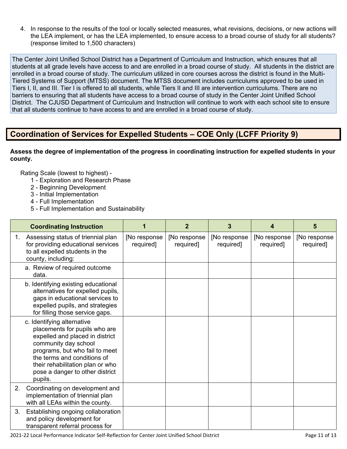4. In response to the results of the tool or locally selected measures, what revisions, decisions, or new actions will the LEA implement, or has the LEA implemented, to ensure access to a broad course of study for all students? (response limited to 1,500 characters)

The Center Joint Unified School District has a Department of Curriculum and Instruction, which ensures that all students at all grade levels have access to and are enrolled in a broad course of study. All students in the district are enrolled in a broad course of study. The curriculum utilized in core courses across the district is found in the Multi-Tiered Systems of Support (MTSS) document. The MTSS document includes curriculums approved to be used in Tiers I, II, and III. Tier I is offered to all students, while Tiers II and III are intervention curriculums. There are no barriers to ensuring that all students have access to a broad course of study in the Center Joint Unified School District. The CJUSD Department of Curriculum and Instruction will continue to work with each school site to ensure that all students continue to have access to and are enrolled in a broad course of study.

## **Coordination of Services for Expelled Students – COE Only (LCFF Priority 9)**

**Assess the degree of implementation of the progress in coordinating instruction for expelled students in your county.**

- 1 Exploration and Research Phase
- 2 Beginning Development
- 3 Initial Implementation
- 4 Full Implementation
- 5 Full Implementation and Sustainability

|    | <b>Coordinating Instruction</b>                                                                                                                                                                                                                                           |                            | $\overline{2}$            | 3                          | 4                          | 5                         |
|----|---------------------------------------------------------------------------------------------------------------------------------------------------------------------------------------------------------------------------------------------------------------------------|----------------------------|---------------------------|----------------------------|----------------------------|---------------------------|
| 1. | Assessing status of triennial plan<br>for providing educational services<br>to all expelled students in the<br>county, including:                                                                                                                                         | [No response]<br>required] | [No response<br>required] | [No response]<br>required] | [No response]<br>required] | [No response<br>required] |
|    | a. Review of required outcome<br>data.                                                                                                                                                                                                                                    |                            |                           |                            |                            |                           |
|    | b. Identifying existing educational<br>alternatives for expelled pupils,<br>gaps in educational services to<br>expelled pupils, and strategies<br>for filling those service gaps.                                                                                         |                            |                           |                            |                            |                           |
|    | c. Identifying alternative<br>placements for pupils who are<br>expelled and placed in district<br>community day school<br>programs, but who fail to meet<br>the terms and conditions of<br>their rehabilitation plan or who<br>pose a danger to other district<br>pupils. |                            |                           |                            |                            |                           |
| 2. | Coordinating on development and<br>implementation of triennial plan<br>with all LEAs within the county.                                                                                                                                                                   |                            |                           |                            |                            |                           |
| 3. | Establishing ongoing collaboration<br>and policy development for<br>transparent referral process for                                                                                                                                                                      |                            |                           |                            |                            |                           |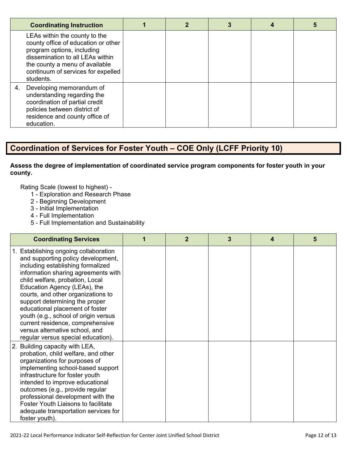| <b>Coordinating Instruction</b>                                                                                                                                                                                             |  |  |  |
|-----------------------------------------------------------------------------------------------------------------------------------------------------------------------------------------------------------------------------|--|--|--|
| LEAs within the county to the<br>county office of education or other<br>program options, including<br>dissemination to all LEAs within<br>the county a menu of available<br>continuum of services for expelled<br>students. |  |  |  |
| Developing memorandum of<br>4.<br>understanding regarding the<br>coordination of partial credit<br>policies between district of<br>residence and county office of<br>education.                                             |  |  |  |

## **Coordination of Services for Foster Youth – COE Only (LCFF Priority 10)**

#### **Assess the degree of implementation of coordinated service program components for foster youth in your county.**

- 1 Exploration and Research Phase
- 2 Beginning Development
- 3 Initial Implementation
- 4 Full Implementation
- 5 Full Implementation and Sustainability

| <b>Coordinating Services</b>                                                                                                                                                                                                                                                                                                                                                                                                                                                              | $\mathbf{2}$ | 3 | 4 | 5 |
|-------------------------------------------------------------------------------------------------------------------------------------------------------------------------------------------------------------------------------------------------------------------------------------------------------------------------------------------------------------------------------------------------------------------------------------------------------------------------------------------|--------------|---|---|---|
| 1. Establishing ongoing collaboration<br>and supporting policy development,<br>including establishing formalized<br>information sharing agreements with<br>child welfare, probation, Local<br>Education Agency (LEAs), the<br>courts, and other organizations to<br>support determining the proper<br>educational placement of foster<br>youth (e.g., school of origin versus<br>current residence, comprehensive<br>versus alternative school, and<br>regular versus special education). |              |   |   |   |
| 2. Building capacity with LEA,<br>probation, child welfare, and other<br>organizations for purposes of<br>implementing school-based support<br>infrastructure for foster youth<br>intended to improve educational<br>outcomes (e.g., provide regular<br>professional development with the<br><b>Foster Youth Liaisons to facilitate</b><br>adequate transportation services for<br>foster youth).                                                                                         |              |   |   |   |